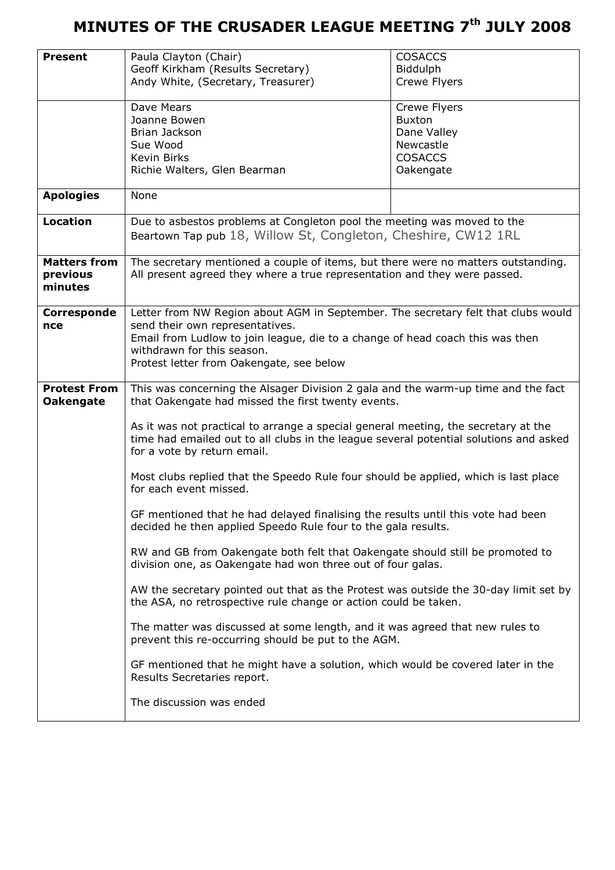| <b>Present</b>                          | Paula Clayton (Chair)<br>Geoff Kirkham (Results Secretary)                                                                                                                                                 | <b>COSACCS</b><br><b>Biddulph</b> |  |  |  |  |  |
|-----------------------------------------|------------------------------------------------------------------------------------------------------------------------------------------------------------------------------------------------------------|-----------------------------------|--|--|--|--|--|
|                                         | Andy White, (Secretary, Treasurer)                                                                                                                                                                         | Crewe Flyers                      |  |  |  |  |  |
|                                         | Dave Mears<br>Joanne Bowen                                                                                                                                                                                 | Crewe Flyers<br><b>Buxton</b>     |  |  |  |  |  |
|                                         | Brian Jackson                                                                                                                                                                                              | Dane Valley                       |  |  |  |  |  |
|                                         | Sue Wood                                                                                                                                                                                                   | Newcastle                         |  |  |  |  |  |
|                                         | <b>Kevin Birks</b>                                                                                                                                                                                         | <b>COSACCS</b>                    |  |  |  |  |  |
|                                         | Richie Walters, Glen Bearman                                                                                                                                                                               | Oakengate                         |  |  |  |  |  |
| <b>Apologies</b>                        | None                                                                                                                                                                                                       |                                   |  |  |  |  |  |
| <b>Location</b>                         | Due to asbestos problems at Congleton pool the meeting was moved to the                                                                                                                                    |                                   |  |  |  |  |  |
|                                         | Beartown Tap pub 18, Willow St, Congleton, Cheshire, CW12 1RL                                                                                                                                              |                                   |  |  |  |  |  |
| <b>Matters from</b>                     | The secretary mentioned a couple of items, but there were no matters outstanding.                                                                                                                          |                                   |  |  |  |  |  |
| previous<br>minutes                     | All present agreed they where a true representation and they were passed.                                                                                                                                  |                                   |  |  |  |  |  |
|                                         |                                                                                                                                                                                                            |                                   |  |  |  |  |  |
| Corresponde                             | Letter from NW Region about AGM in September. The secretary felt that clubs would                                                                                                                          |                                   |  |  |  |  |  |
| nce                                     | send their own representatives.                                                                                                                                                                            |                                   |  |  |  |  |  |
|                                         | Email from Ludlow to join league, die to a change of head coach this was then<br>withdrawn for this season.                                                                                                |                                   |  |  |  |  |  |
|                                         | Protest letter from Oakengate, see below                                                                                                                                                                   |                                   |  |  |  |  |  |
|                                         |                                                                                                                                                                                                            |                                   |  |  |  |  |  |
| <b>Protest From</b><br><b>Oakengate</b> | This was concerning the Alsager Division 2 gala and the warm-up time and the fact<br>that Oakengate had missed the first twenty events.                                                                    |                                   |  |  |  |  |  |
|                                         | As it was not practical to arrange a special general meeting, the secretary at the<br>time had emailed out to all clubs in the league several potential solutions and asked<br>for a vote by return email. |                                   |  |  |  |  |  |
|                                         | Most clubs replied that the Speedo Rule four should be applied, which is last place<br>for each event missed.                                                                                              |                                   |  |  |  |  |  |
|                                         | GF mentioned that he had delayed finalising the results until this vote had been<br>decided he then applied Speedo Rule four to the gala results.                                                          |                                   |  |  |  |  |  |
|                                         | RW and GB from Oakengate both felt that Oakengate should still be promoted to<br>division one, as Oakengate had won three out of four galas.                                                               |                                   |  |  |  |  |  |
|                                         | AW the secretary pointed out that as the Protest was outside the 30-day limit set by<br>the ASA, no retrospective rule change or action could be taken.                                                    |                                   |  |  |  |  |  |
|                                         | The matter was discussed at some length, and it was agreed that new rules to<br>prevent this re-occurring should be put to the AGM.                                                                        |                                   |  |  |  |  |  |
|                                         | GF mentioned that he might have a solution, which would be covered later in the<br>Results Secretaries report.                                                                                             |                                   |  |  |  |  |  |
|                                         | The discussion was ended                                                                                                                                                                                   |                                   |  |  |  |  |  |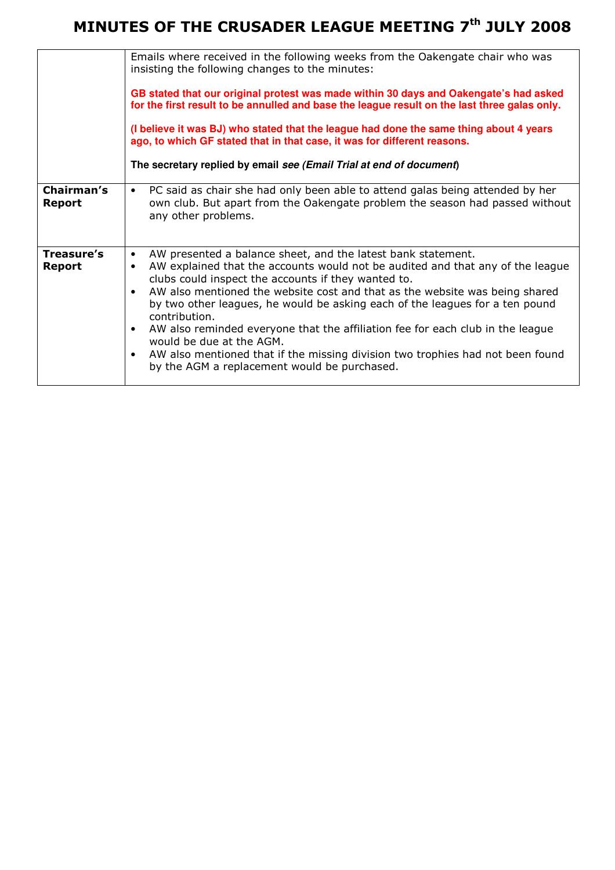|                      | Emails where received in the following weeks from the Oakengate chair who was<br>insisting the following changes to the minutes:<br>GB stated that our original protest was made within 30 days and Oakengate's had asked<br>for the first result to be annulled and base the league result on the last three galas only.<br>(I believe it was BJ) who stated that the league had done the same thing about 4 years<br>ago, to which GF stated that in that case, it was for different reasons.<br>The secretary replied by email see (Email Trial at end of document)                                                                                                 |
|----------------------|------------------------------------------------------------------------------------------------------------------------------------------------------------------------------------------------------------------------------------------------------------------------------------------------------------------------------------------------------------------------------------------------------------------------------------------------------------------------------------------------------------------------------------------------------------------------------------------------------------------------------------------------------------------------|
| Chairman's<br>Report | PC said as chair she had only been able to attend galas being attended by her<br>$\bullet$<br>own club. But apart from the Oakengate problem the season had passed without<br>any other problems.                                                                                                                                                                                                                                                                                                                                                                                                                                                                      |
| Treasure's<br>Report | AW presented a balance sheet, and the latest bank statement.<br>٠<br>AW explained that the accounts would not be audited and that any of the league<br>٠<br>clubs could inspect the accounts if they wanted to.<br>AW also mentioned the website cost and that as the website was being shared<br>٠<br>by two other leagues, he would be asking each of the leagues for a ten pound<br>contribution.<br>AW also reminded everyone that the affiliation fee for each club in the league<br>$\bullet$<br>would be due at the AGM.<br>AW also mentioned that if the missing division two trophies had not been found<br>٠<br>by the AGM a replacement would be purchased. |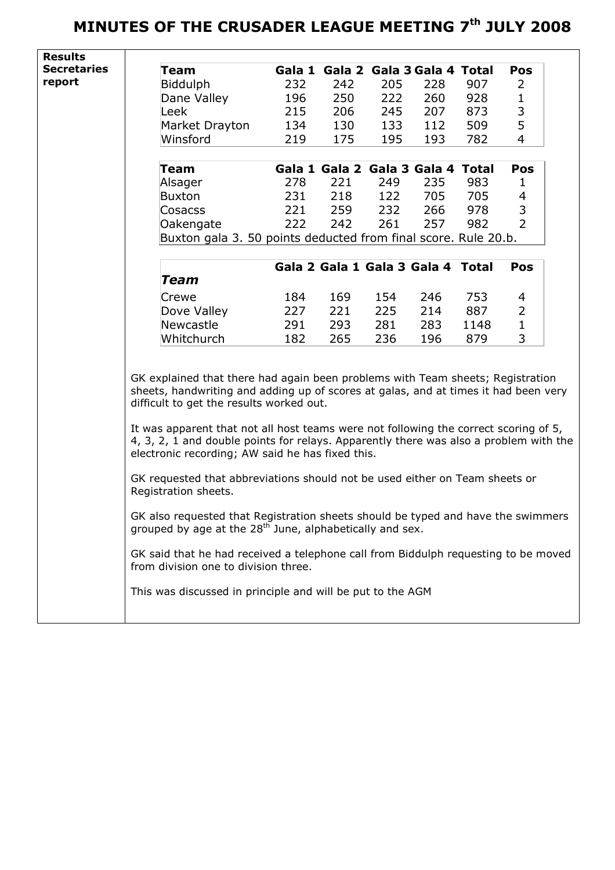| Team<br><b>Biddulph</b><br>Dane Valley<br>Leek<br>Market Drayton<br>Winsford                                                                                                                                                                                                                                                                                                                                                                                                                                                                                                                                                                                                                                                                                                                                                                                                                                          | 232<br>196<br>215<br>134<br>219 | Gala 1 Gala 2 Gala 3 Gala 4 Total<br>242<br>250<br>206<br>130 | 205<br>222<br>245 | 228<br>260<br>207 | 907<br>928 | <b>Pos</b><br>2<br>$\mathbf{1}$                                                                            |  |  |
|-----------------------------------------------------------------------------------------------------------------------------------------------------------------------------------------------------------------------------------------------------------------------------------------------------------------------------------------------------------------------------------------------------------------------------------------------------------------------------------------------------------------------------------------------------------------------------------------------------------------------------------------------------------------------------------------------------------------------------------------------------------------------------------------------------------------------------------------------------------------------------------------------------------------------|---------------------------------|---------------------------------------------------------------|-------------------|-------------------|------------|------------------------------------------------------------------------------------------------------------|--|--|
|                                                                                                                                                                                                                                                                                                                                                                                                                                                                                                                                                                                                                                                                                                                                                                                                                                                                                                                       |                                 |                                                               |                   |                   |            |                                                                                                            |  |  |
|                                                                                                                                                                                                                                                                                                                                                                                                                                                                                                                                                                                                                                                                                                                                                                                                                                                                                                                       |                                 |                                                               |                   |                   |            |                                                                                                            |  |  |
|                                                                                                                                                                                                                                                                                                                                                                                                                                                                                                                                                                                                                                                                                                                                                                                                                                                                                                                       |                                 |                                                               |                   |                   |            |                                                                                                            |  |  |
|                                                                                                                                                                                                                                                                                                                                                                                                                                                                                                                                                                                                                                                                                                                                                                                                                                                                                                                       |                                 |                                                               |                   |                   | 873        | 3                                                                                                          |  |  |
|                                                                                                                                                                                                                                                                                                                                                                                                                                                                                                                                                                                                                                                                                                                                                                                                                                                                                                                       |                                 |                                                               | 133               | 112               | 509        | 5                                                                                                          |  |  |
|                                                                                                                                                                                                                                                                                                                                                                                                                                                                                                                                                                                                                                                                                                                                                                                                                                                                                                                       |                                 | 175                                                           | 195               | 193               | 782        | $\overline{4}$                                                                                             |  |  |
|                                                                                                                                                                                                                                                                                                                                                                                                                                                                                                                                                                                                                                                                                                                                                                                                                                                                                                                       |                                 |                                                               |                   |                   |            |                                                                                                            |  |  |
| Team                                                                                                                                                                                                                                                                                                                                                                                                                                                                                                                                                                                                                                                                                                                                                                                                                                                                                                                  |                                 | Gala 1 Gala 2 Gala 3 Gala 4 Total                             |                   |                   |            | <b>Pos</b>                                                                                                 |  |  |
| Alsager                                                                                                                                                                                                                                                                                                                                                                                                                                                                                                                                                                                                                                                                                                                                                                                                                                                                                                               | 278                             | 221                                                           | 249               | 235               | 983        | 1                                                                                                          |  |  |
| <b>Buxton</b>                                                                                                                                                                                                                                                                                                                                                                                                                                                                                                                                                                                                                                                                                                                                                                                                                                                                                                         | 231                             | 218                                                           | 122               | 705               | 705        | 4                                                                                                          |  |  |
| Cosacss                                                                                                                                                                                                                                                                                                                                                                                                                                                                                                                                                                                                                                                                                                                                                                                                                                                                                                               |                                 | 259                                                           |                   | 266               | 978        | 3                                                                                                          |  |  |
|                                                                                                                                                                                                                                                                                                                                                                                                                                                                                                                                                                                                                                                                                                                                                                                                                                                                                                                       |                                 |                                                               |                   |                   |            | $\overline{2}$                                                                                             |  |  |
|                                                                                                                                                                                                                                                                                                                                                                                                                                                                                                                                                                                                                                                                                                                                                                                                                                                                                                                       |                                 |                                                               |                   |                   |            |                                                                                                            |  |  |
|                                                                                                                                                                                                                                                                                                                                                                                                                                                                                                                                                                                                                                                                                                                                                                                                                                                                                                                       |                                 |                                                               |                   |                   |            |                                                                                                            |  |  |
|                                                                                                                                                                                                                                                                                                                                                                                                                                                                                                                                                                                                                                                                                                                                                                                                                                                                                                                       |                                 |                                                               |                   |                   |            | <b>Pos</b>                                                                                                 |  |  |
| Team                                                                                                                                                                                                                                                                                                                                                                                                                                                                                                                                                                                                                                                                                                                                                                                                                                                                                                                  |                                 |                                                               |                   |                   |            |                                                                                                            |  |  |
| Crewe                                                                                                                                                                                                                                                                                                                                                                                                                                                                                                                                                                                                                                                                                                                                                                                                                                                                                                                 | 184                             | 169                                                           | 154               | 246               | 753        | 4                                                                                                          |  |  |
| Dove Valley                                                                                                                                                                                                                                                                                                                                                                                                                                                                                                                                                                                                                                                                                                                                                                                                                                                                                                           | 227                             | 221                                                           | 225               | 214               | 887        | 2                                                                                                          |  |  |
| <b>Newcastle</b>                                                                                                                                                                                                                                                                                                                                                                                                                                                                                                                                                                                                                                                                                                                                                                                                                                                                                                      | 291                             | 293                                                           | 281               | 283               | 1148       | $\mathbf{1}$                                                                                               |  |  |
| Whitchurch                                                                                                                                                                                                                                                                                                                                                                                                                                                                                                                                                                                                                                                                                                                                                                                                                                                                                                            | 182                             | 265                                                           | 236               | 196               | 879        | 3                                                                                                          |  |  |
| GK explained that there had again been problems with Team sheets; Registration<br>sheets, handwriting and adding up of scores at galas, and at times it had been very<br>difficult to get the results worked out.<br>It was apparent that not all host teams were not following the correct scoring of 5,<br>4, 3, 2, 1 and double points for relays. Apparently there was also a problem with the<br>electronic recording; AW said he has fixed this.<br>GK requested that abbreviations should not be used either on Team sheets or<br>Registration sheets.<br>GK also requested that Registration sheets should be typed and have the swimmers<br>grouped by age at the 28 <sup>th</sup> June, alphabetically and sex.<br>GK said that he had received a telephone call from Biddulph requesting to be moved<br>from division one to division three.<br>This was discussed in principle and will be put to the AGM |                                 |                                                               |                   |                   |            |                                                                                                            |  |  |
|                                                                                                                                                                                                                                                                                                                                                                                                                                                                                                                                                                                                                                                                                                                                                                                                                                                                                                                       | Oakengate                       | 221<br>222                                                    | 242               | 232<br>261        | 257        | 982<br>Buxton gala 3. 50 points deducted from final score. Rule 20.b.<br>Gala 2 Gala 1 Gala 3 Gala 4 Total |  |  |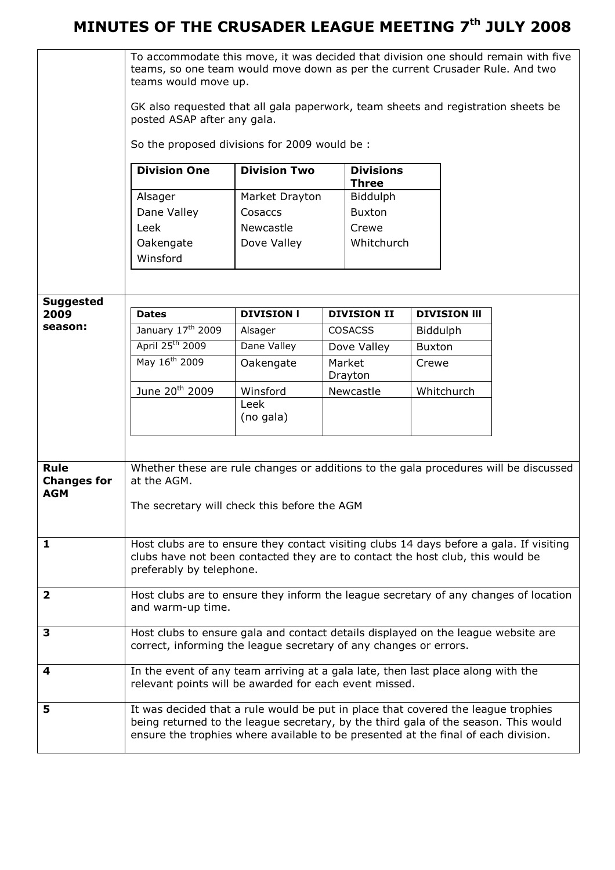|                                  | To accommodate this move, it was decided that division one should remain with five<br>teams, so one team would move down as per the current Crusader Rule. And two<br>teams would move up. |                          |  |                     |                 |                     |  |
|----------------------------------|--------------------------------------------------------------------------------------------------------------------------------------------------------------------------------------------|--------------------------|--|---------------------|-----------------|---------------------|--|
|                                  | GK also requested that all gala paperwork, team sheets and registration sheets be<br>posted ASAP after any gala.                                                                           |                          |  |                     |                 |                     |  |
|                                  | So the proposed divisions for 2009 would be :<br><b>Division One</b><br><b>Division Two</b><br><b>Divisions</b><br><b>Three</b>                                                            |                          |  |                     |                 |                     |  |
|                                  |                                                                                                                                                                                            |                          |  |                     |                 |                     |  |
|                                  | Alsager                                                                                                                                                                                    | Market Drayton           |  | Biddulph            |                 |                     |  |
|                                  | Dane Valley                                                                                                                                                                                | Cosaccs                  |  | <b>Buxton</b>       |                 |                     |  |
|                                  | Leek<br>Oakengate                                                                                                                                                                          | Newcastle<br>Dove Valley |  | Crewe<br>Whitchurch |                 |                     |  |
|                                  | Winsford                                                                                                                                                                                   |                          |  |                     |                 |                     |  |
|                                  |                                                                                                                                                                                            |                          |  |                     |                 |                     |  |
| <b>Suggested</b>                 |                                                                                                                                                                                            |                          |  |                     |                 |                     |  |
| 2009<br>season:                  | <b>Dates</b>                                                                                                                                                                               | <b>DIVISION I</b>        |  | <b>DIVISION II</b>  |                 | <b>DIVISION III</b> |  |
|                                  | January 17 <sup>th</sup> 2009                                                                                                                                                              | Alsager                  |  | <b>COSACSS</b>      | <b>Biddulph</b> |                     |  |
|                                  | April 25 <sup>th</sup> 2009<br>May 16 <sup>th</sup> 2009                                                                                                                                   | Dane Valley              |  | Dove Valley         | <b>Buxton</b>   |                     |  |
|                                  |                                                                                                                                                                                            | Oakengate                |  | Market<br>Drayton   | Crewe           |                     |  |
|                                  | June 20 <sup>th</sup> 2009                                                                                                                                                                 | Winsford                 |  | Newcastle           | Whitchurch      |                     |  |
|                                  |                                                                                                                                                                                            | Leek<br>(no gala)        |  |                     |                 |                     |  |
|                                  |                                                                                                                                                                                            |                          |  |                     |                 |                     |  |
|                                  |                                                                                                                                                                                            |                          |  |                     |                 |                     |  |
| Rule                             | Whether these are rule changes or additions to the gala procedures will be discussed                                                                                                       |                          |  |                     |                 |                     |  |
| <b>Changes for</b><br><b>AGM</b> | at the AGM.                                                                                                                                                                                |                          |  |                     |                 |                     |  |
|                                  | The secretary will check this before the AGM                                                                                                                                               |                          |  |                     |                 |                     |  |
|                                  |                                                                                                                                                                                            |                          |  |                     |                 |                     |  |
| $\mathbf{1}$                     | Host clubs are to ensure they contact visiting clubs 14 days before a gala. If visiting                                                                                                    |                          |  |                     |                 |                     |  |
|                                  | clubs have not been contacted they are to contact the host club, this would be                                                                                                             |                          |  |                     |                 |                     |  |
|                                  | preferably by telephone.                                                                                                                                                                   |                          |  |                     |                 |                     |  |
| $\overline{2}$                   | Host clubs are to ensure they inform the league secretary of any changes of location                                                                                                       |                          |  |                     |                 |                     |  |
|                                  | and warm-up time.                                                                                                                                                                          |                          |  |                     |                 |                     |  |
| 3                                | Host clubs to ensure gala and contact details displayed on the league website are                                                                                                          |                          |  |                     |                 |                     |  |
|                                  | correct, informing the league secretary of any changes or errors.                                                                                                                          |                          |  |                     |                 |                     |  |
| 4                                | In the event of any team arriving at a gala late, then last place along with the                                                                                                           |                          |  |                     |                 |                     |  |
|                                  | relevant points will be awarded for each event missed.                                                                                                                                     |                          |  |                     |                 |                     |  |
| 5                                | It was decided that a rule would be put in place that covered the league trophies                                                                                                          |                          |  |                     |                 |                     |  |
|                                  | being returned to the league secretary, by the third gala of the season. This would<br>ensure the trophies where available to be presented at the final of each division.                  |                          |  |                     |                 |                     |  |
|                                  |                                                                                                                                                                                            |                          |  |                     |                 |                     |  |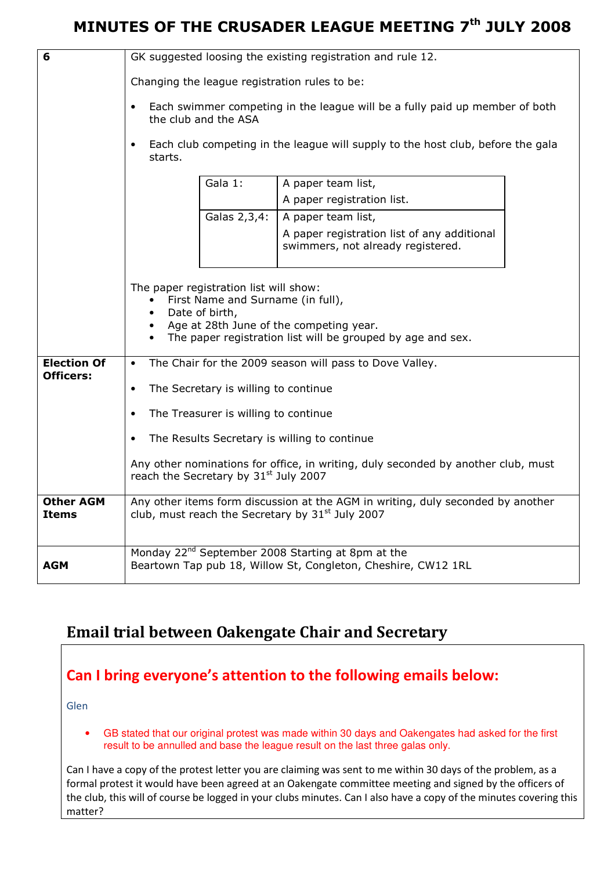| 6                                      | GK suggested loosing the existing registration and rule 12.                                                                                                                                                          |                                      |                                                                                  |  |  |  |  |
|----------------------------------------|----------------------------------------------------------------------------------------------------------------------------------------------------------------------------------------------------------------------|--------------------------------------|----------------------------------------------------------------------------------|--|--|--|--|
|                                        | Changing the league registration rules to be:                                                                                                                                                                        |                                      |                                                                                  |  |  |  |  |
|                                        | Each swimmer competing in the league will be a fully paid up member of both<br>$\bullet$                                                                                                                             |                                      |                                                                                  |  |  |  |  |
|                                        | the club and the ASA                                                                                                                                                                                                 |                                      |                                                                                  |  |  |  |  |
|                                        | Each club competing in the league will supply to the host club, before the gala<br>$\bullet$<br>starts.                                                                                                              |                                      |                                                                                  |  |  |  |  |
|                                        | Gala 1:<br>A paper team list,                                                                                                                                                                                        |                                      |                                                                                  |  |  |  |  |
|                                        |                                                                                                                                                                                                                      |                                      | A paper registration list.                                                       |  |  |  |  |
|                                        |                                                                                                                                                                                                                      | Galas 2,3,4:                         | A paper team list,                                                               |  |  |  |  |
|                                        |                                                                                                                                                                                                                      |                                      | A paper registration list of any additional<br>swimmers, not already registered. |  |  |  |  |
|                                        | The paper registration list will show:<br>First Name and Surname (in full),<br>Date of birth,<br>$\bullet$<br>Age at 28th June of the competing year.<br>The paper registration list will be grouped by age and sex. |                                      |                                                                                  |  |  |  |  |
| <b>Election Of</b><br><b>Officers:</b> | The Chair for the 2009 season will pass to Dove Valley.<br>$\bullet$                                                                                                                                                 |                                      |                                                                                  |  |  |  |  |
|                                        | $\bullet$                                                                                                                                                                                                            | The Secretary is willing to continue |                                                                                  |  |  |  |  |
|                                        | $\bullet$                                                                                                                                                                                                            | The Treasurer is willing to continue |                                                                                  |  |  |  |  |
|                                        | $\bullet$                                                                                                                                                                                                            |                                      | The Results Secretary is willing to continue                                     |  |  |  |  |
|                                        | Any other nominations for office, in writing, duly seconded by another club, must                                                                                                                                    |                                      |                                                                                  |  |  |  |  |
|                                        | reach the Secretary by 31st July 2007                                                                                                                                                                                |                                      |                                                                                  |  |  |  |  |
| <b>Other AGM</b><br><b>Items</b>       | Any other items form discussion at the AGM in writing, duly seconded by another<br>club, must reach the Secretary by 31 <sup>st</sup> July 2007                                                                      |                                      |                                                                                  |  |  |  |  |
| <b>AGM</b>                             | Monday 22 <sup>nd</sup> September 2008 Starting at 8pm at the<br>Beartown Tap pub 18, Willow St, Congleton, Cheshire, CW12 1RL                                                                                       |                                      |                                                                                  |  |  |  |  |

### Email trial between Oakengate Chair and Secretary

#### Can I bring everyone's attention to the following emails below:

Glen

• GB stated that our original protest was made within 30 days and Oakengates had asked for the first result to be annulled and base the league result on the last three galas only.

Can I have a copy of the protest letter you are claiming was sent to me within 30 days of the problem, as a formal protest it would have been agreed at an Oakengate committee meeting and signed by the officers of the club, this will of course be logged in your clubs minutes. Can I also have a copy of the minutes covering this matter?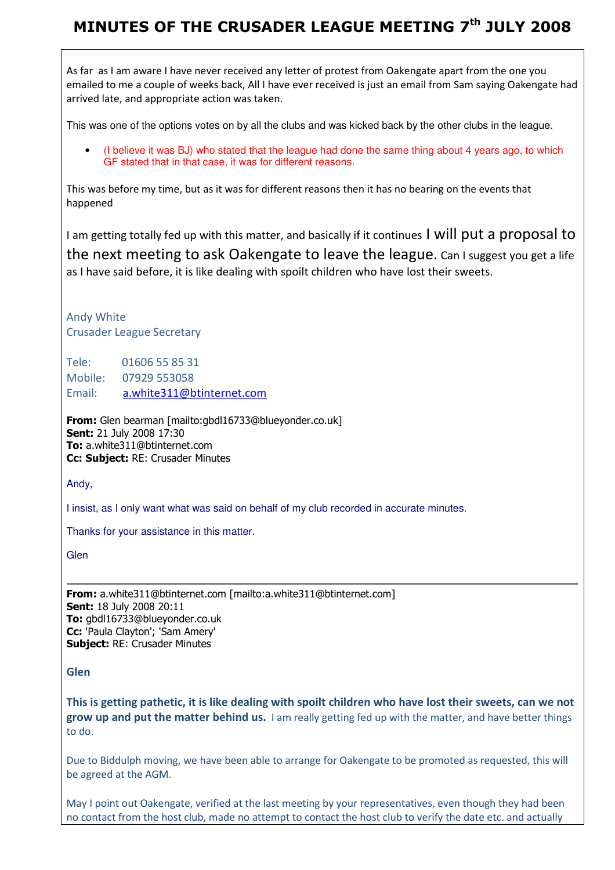As far as I am aware I have never received any letter of protest from Oakengate apart from the one you emailed to me a couple of weeks back, All I have ever received is just an email from Sam saying Oakengate had arrived late, and appropriate action was taken.

This was one of the options votes on by all the clubs and was kicked back by the other clubs in the league.

• (I believe it was BJ) who stated that the league had done the same thing about 4 years ago, to which GF stated that in that case, it was for different reasons.

This was before my time, but as it was for different reasons then it has no bearing on the events that happened

I am getting totally fed up with this matter, and basically if it continues I will put a proposal to the next meeting to ask Oakengate to leave the league. Can I suggest you get a life as I have said before, it is like dealing with spoilt children who have lost their sweets.

Andy White Crusader League Secretary

Tele: 01606 55 85 31 Mobile: 07929 553058 Email: a.white311@btinternet.com

From: Glen bearman [mailto:gbdl16733@blueyonder.co.uk] Sent: 21 July 2008 17:30 To: a.white311@btinternet.com Cc: Subject: RE: Crusader Minutes

Andy,

I insist, as I only want what was said on behalf of my club recorded in accurate minutes.

Thanks for your assistance in this matter.

**Glen** 

From: a.white311@btinternet.com [mailto:a.white311@btinternet.com] Sent: 18 July 2008 20:11 To: gbdl16733@blueyonder.co.uk Cc: 'Paula Clayton'; 'Sam Amery' **Subject: RE: Crusader Minutes** 

Glen

This is getting pathetic, it is like dealing with spoilt children who have lost their sweets, can we not grow up and put the matter behind us. I am really getting fed up with the matter, and have better things to do.

Due to Biddulph moving, we have been able to arrange for Oakengate to be promoted as requested, this will be agreed at the AGM.

May I point out Oakengate, verified at the last meeting by your representatives, even though they had been no contact from the host club, made no attempt to contact the host club to verify the date etc. and actually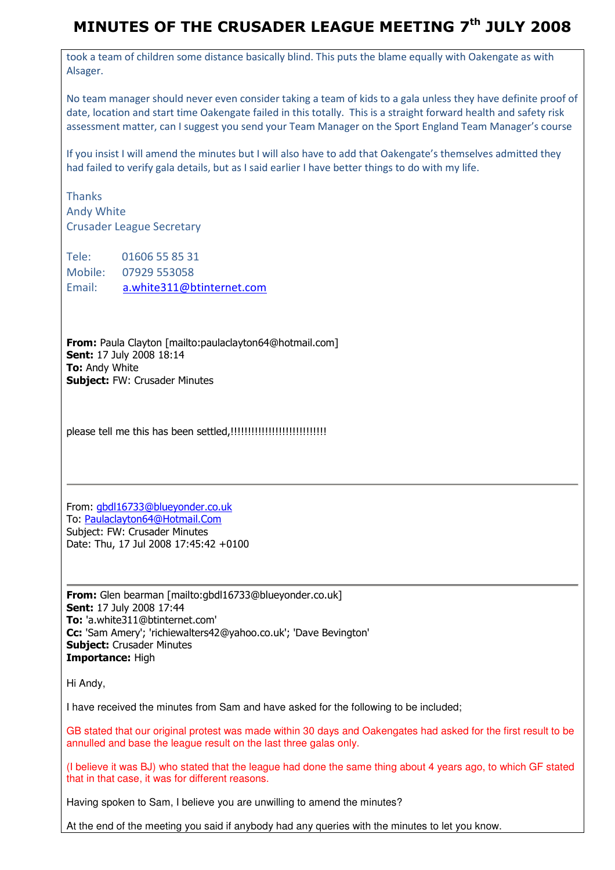took a team of children some distance basically blind. This puts the blame equally with Oakengate as with Alsager.

No team manager should never even consider taking a team of kids to a gala unless they have definite proof of date, location and start time Oakengate failed in this totally. This is a straight forward health and safety risk assessment matter, can I suggest you send your Team Manager on the Sport England Team Manager's course

If you insist I will amend the minutes but I will also have to add that Oakengate's themselves admitted they had failed to verify gala details, but as I said earlier I have better things to do with my life.

**Thanks** Andy White Crusader League Secretary

Tele: 01606 55 85 31 Mobile: 07929 553058 Email: a.white311@btinternet.com

From: Paula Clayton [mailto:paulaclayton64@hotmail.com] Sent: 17 July 2008 18:14 **To: Andy White Subject: FW: Crusader Minutes** 

please tell me this has been settled,!!!!!!!!!!!!!!!!!!!!!!!!!!!!

From: gbdl16733@blueyonder.co.uk To: Paulaclayton64@Hotmail.Com Subject: FW: Crusader Minutes Date: Thu, 17 Jul 2008 17:45:42 +0100

From: Glen bearman [mailto:gbdl16733@blueyonder.co.uk] Sent: 17 July 2008 17:44 To: 'a.white311@btinternet.com' Cc: 'Sam Amery'; 'richiewalters42@yahoo.co.uk'; 'Dave Bevington' **Subject: Crusader Minutes** Importance: High

Hi Andy,

I have received the minutes from Sam and have asked for the following to be included;

GB stated that our original protest was made within 30 days and Oakengates had asked for the first result to be annulled and base the league result on the last three galas only.

(I believe it was BJ) who stated that the league had done the same thing about 4 years ago, to which GF stated that in that case, it was for different reasons.

Having spoken to Sam, I believe you are unwilling to amend the minutes?

At the end of the meeting you said if anybody had any queries with the minutes to let you know.